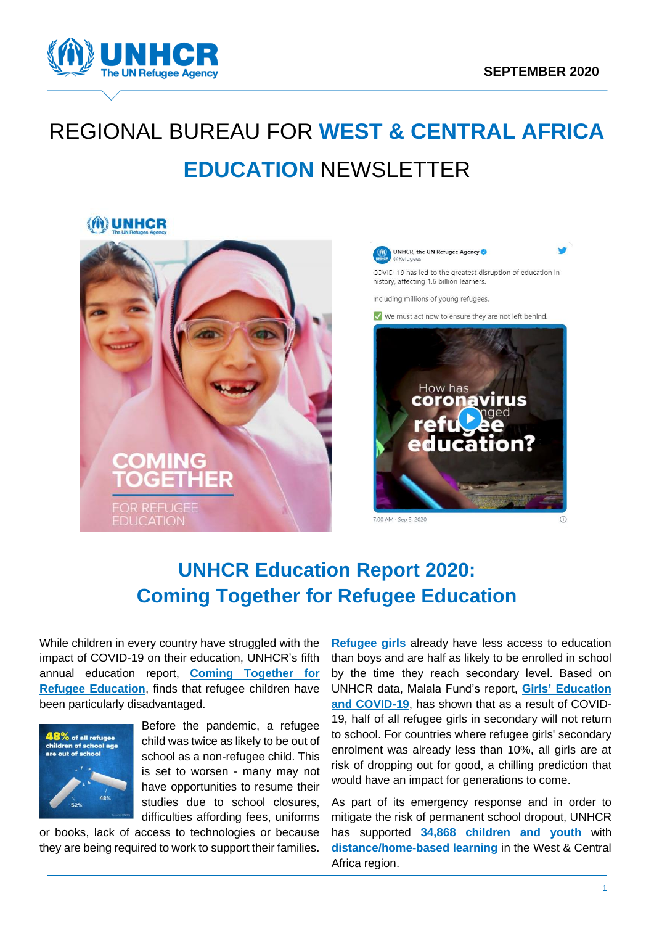

# REGIONAL BUREAU FOR **WEST & CENTRAL AFRICA EDUCATION** NEWSLETTER

### MD UNHCR





# **UNHCR Education Report 2020: Coming Together for Refugee Education**

While children in every country have struggled with the impact of COVID-19 on their education, UNHCR's fifth annual education report, **[Coming Together for](https://www.unhcr.org/5f4f9a2b4)  [Refugee Education](https://www.unhcr.org/5f4f9a2b4)**, finds that refugee children have been particularly disadvantaged.



Before the pandemic, a refugee child was twice as likely to be out of school as a non-refugee child. This is set to worsen - many may not have opportunities to resume their studies due to school closures. difficulties affording fees, uniforms

or books, lack of access to technologies or because they are being required to work to support their families.

**Refugee girls** already have less access to education than boys and are half as likely to be enrolled in school by the time they reach secondary level. Based on UNHCR data, Malala Fund's report, **[Girls' Education](https://downloads.ctfassets.net/0oan5gk9rgbh/6TMYLYAcUpjhQpXLDgmdIa/dd1c2ad08886723cbad85283d479de09/GirlsEducationandCOVID19_MalalaFund_04022020.pdf)  [and COVID-19](https://downloads.ctfassets.net/0oan5gk9rgbh/6TMYLYAcUpjhQpXLDgmdIa/dd1c2ad08886723cbad85283d479de09/GirlsEducationandCOVID19_MalalaFund_04022020.pdf)**, has shown that as a result of COVID-19, half of all refugee girls in secondary will not return to school. For countries where refugee girls' secondary enrolment was already less than 10%, all girls are at risk of dropping out for good, a chilling prediction that would have an impact for generations to come.

As part of its emergency response and in order to mitigate the risk of permanent school dropout, UNHCR has supported **34,868 children and youth** with **distance/home-based learning** in the West & Central Africa region.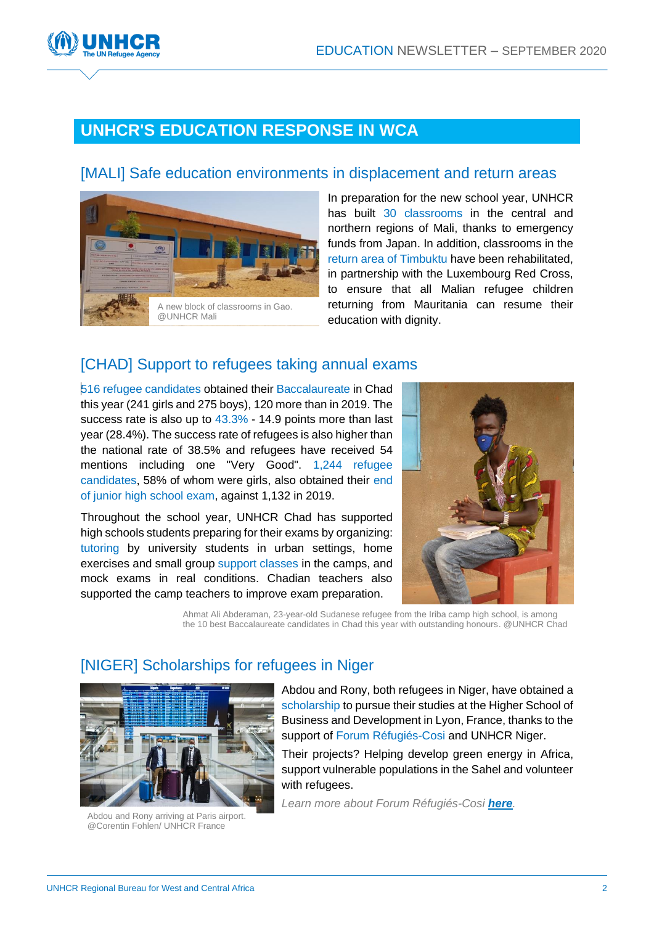

### **UNHCR'S EDUCATION RESPONSE IN WCA**

### [MALI] Safe education environments in displacement and return areas



In preparation for the new school year, UNHCR has built 30 classrooms in the central and northern regions of Mali, thanks to emergency funds from Japan. In addition, classrooms in the return area of Timbuktu have been rehabilitated, in partnership with the Luxembourg Red Cross, to ensure that all Malian refugee children returning from Mauritania can resume their education with dignity.

### [CHAD] Support to refugees taking annual exams

516 refugee candidates obtained their Baccalaureate in Chad this year (241 girls and 275 boys), 120 more than in 2019. The success rate is also up to  $43.3\%$  - 14.9 points more than last year (28.4%). The success rate of refugees is also higher than the national rate of 38.5% and refugees have received 54 mentions including one "Very Good". 1,244 refugee candidates, 58% of whom were girls, also obtained their end of junior high school exam, against 1,132 in 2019.

Throughout the school year, UNHCR Chad has supported high schools students preparing for their exams by organizing: tutoring by university students in urban settings, home exercises and small group support classes in the camps, and mock exams in real conditions. Chadian teachers also supported the camp teachers to improve exam preparation.



Ahmat Ali Abderaman, 23-year-old Sudanese refugee from the Iriba camp high school, is among the 10 best Baccalaureate candidates in Chad this year with outstanding honours. @UNHCR Chad

### [NIGER] Scholarships for refugees in Niger



Abdou and Rony arriving at Paris airport. @Corentin Fohlen/ UNHCR France

Abdou and Rony, both refugees in Niger, have obtained a scholarship to pursue their studies at the Higher School of Business and Development in Lyon, France, thanks to the support of Forum Réfugiés-Cosi and UNHCR Niger.

Their projects? Helping develop green energy in Africa, support vulnerable populations in the Sahel and volunteer with refugees.

*Learn more about Forum Réfugiés-Cosi [here](https://www.forumrefugies.org/).*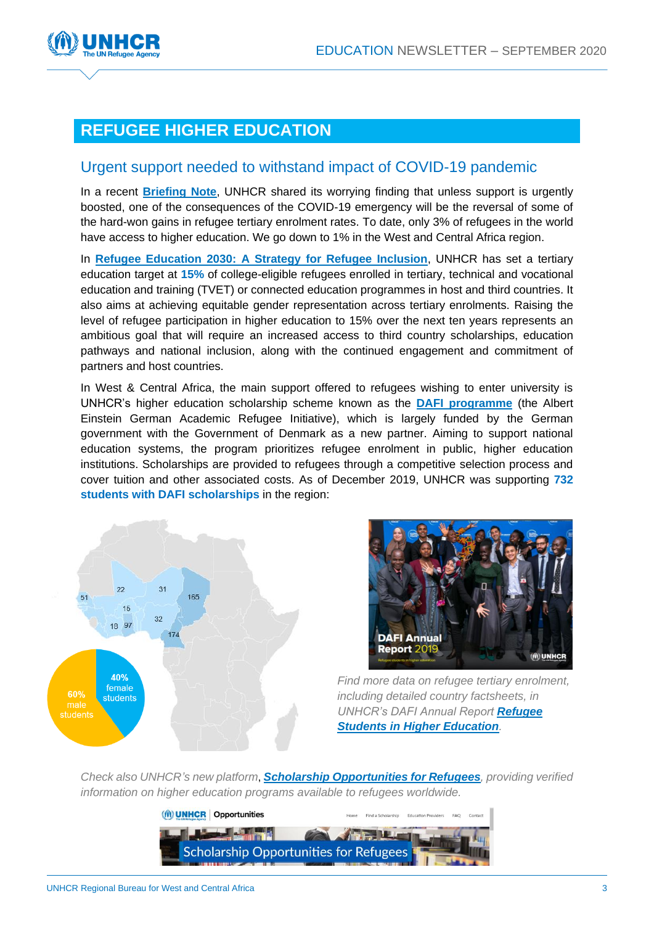

## **REFUGEE HIGHER EDUCATION**

#### Urgent support needed to withstand impact of COVID-19 pandemic

In a recent **[Briefing Note](https://www.unhcr.org/news/briefing/2020/9/5f72ea274/unhcr-urges-support-refugee-higher-education-withstand-impact-covid-19.html)**, UNHCR shared its worrying finding that unless support is urgently boosted, one of the consequences of the COVID-19 emergency will be the reversal of some of the hard-won gains in refugee tertiary enrolment rates. To date, only 3% of refugees in the world have access to higher education. We go down to 1% in the West and Central Africa region.

In **Refugee Education 2030: A [Strategy for Refugee Inclusion](https://www.unhcr.org/publications/education/5d651da88d7/education-2030-strategy-refugee-education.html)**, UNHCR has set a tertiary education target at **15%** of college-eligible refugees enrolled in tertiary, technical and vocational education and training (TVET) or connected education programmes in host and third countries. It also aims at achieving equitable gender representation across tertiary enrolments. Raising the level of refugee participation in higher education to 15% over the next ten years represents an ambitious goal that will require an increased access to third country scholarships, education pathways and national inclusion, along with the continued engagement and commitment of partners and host countries.

In West & Central Africa, the main support offered to refugees wishing to enter university is UNHCR's higher education scholarship scheme known as the **[DAFI programme](https://www.unhcr.org/dafi-scholarships.html)** (the Albert Einstein German Academic Refugee Initiative), which is largely funded by the German government with the Government of Denmark as a new partner. Aiming to support national education systems, the program prioritizes refugee enrolment in public, higher education institutions. Scholarships are provided to refugees through a competitive selection process and cover tuition and other associated costs. As of December 2019, UNHCR was supporting **732 students with DAFI scholarships** in the region:





*Find more data on refugee tertiary enrolment, including detailed country factsheets, in UNHCR's DAFI Annual Report [Refugee](https://www.unhcr.org/5f5a7b784/dafi-annual-report-2019)  [Students in Higher Education](https://www.unhcr.org/5f5a7b784/dafi-annual-report-2019).*

*Check also UNHCR's new platform*, *[Scholarship Opportunities for Refugees](https://services.unhcr.org/opportunities/), providing verified information on higher education programs available to refugees worldwide.*

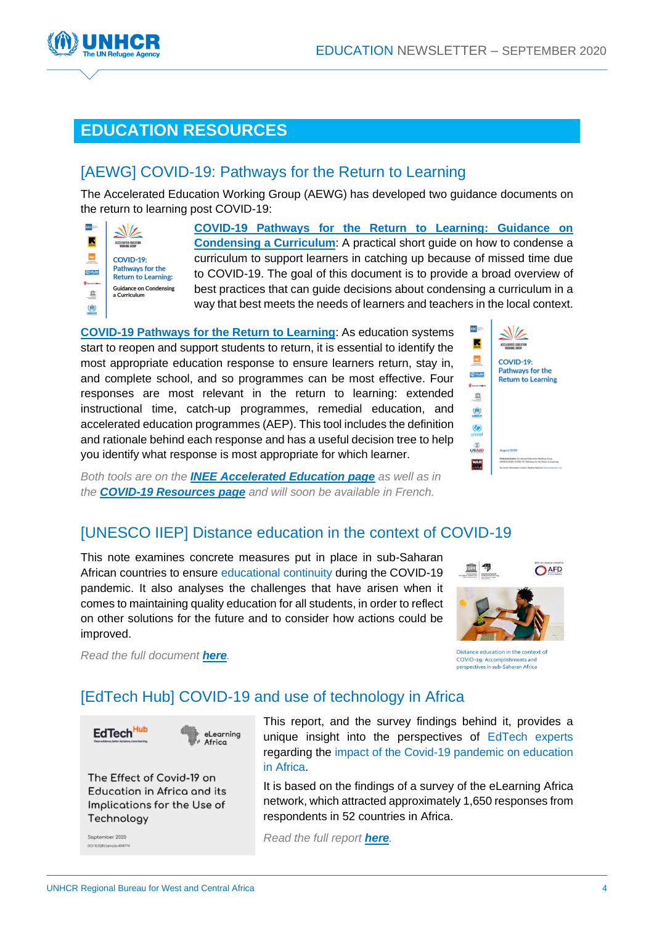

## **EDUCATION RESOURCES**

### [AEWG] [COVID-19: Pathways for the Return to Learning](https://inee.org/resources/covid-19-pathways-return-learning-guidance-condensing-curriculum)

The Accelerated Education Working Group (AEWG) has developed two guidance documents on the return to learning post COVID-19:



**[COVID-19 Pathways for the Return to Learning: Guidance on](https://inee.org/resources/covid-19-pathways-return-learning-guidance-condensing-curriculum)  [Condensing a Curriculum](https://inee.org/resources/covid-19-pathways-return-learning-guidance-condensing-curriculum)**: A practical short guide on how to condense a curriculum to support learners in catching up because of missed time due to COVID-19. The goal of this document is to provide a broad overview of best practices that can guide decisions about condensing a curriculum in a way that best meets the needs of learners and teachers in the local context.

**COVID-19 [Pathways for the Return to Learning](https://inee.org/resources/covid-19-pathways-return-learning)**: As education systems start to reopen and support students to return, it is essential to identify the most appropriate education response to ensure learners return, stay in, and complete school, and so programmes can be most effective. Four responses are most relevant in the return to learning: extended instructional time, catch-up programmes, remedial education, and accelerated education programmes (AEP). This tool includes the definition and rationale behind each response and has a useful decision tree to help you identify what response is most appropriate for which learner.



*Both tools are on the [INEE Accelerated Education page](https://inee.org/collections/accelerated-education) as well as in the COVID-19 [Resources](https://inee.org/covid-19/resources) page and will soon be available in French.*

### [\[UNESCO IIEP\] Distance education in the context of COVID-19](https://unesdoc.unesco.org/ark:/48223/pf0000374160)

This note examines concrete measures put in place in sub-Saharan African countries to ensure educational continuity during the COVID-19 pandemic. It also analyses the challenges that have arisen when it comes to maintaining quality education for all students, in order to reflect on other solutions for the future and to consider how actions could be improved.



*Read the full document [here](https://unesdoc.unesco.org/ark:/48223/pf0000374160).* 

Distance education in the context of COVID-19: Accomplishments and<br>perspectives in sub-Saharan Africa

### [\[EdTech Hub\] COVID-19 and use of technology in Africa](https://edtechhub.org/the-effect-of-covid-19-on-education-in-africa-and-its-implications-for-the-use-of-technology/)



The Effect of Covid-19 on Education in Africa and its Implications for the Use of Technology

September 2020

This report, and the survey findings behind it, provides a unique insight into the perspectives of EdTech experts regarding the impact of the Covid-19 pandemic on education in Africa.

It is based on the findings of a survey of the eLearning Africa network, which attracted approximately 1,650 responses from respondents in 52 countries in Africa.

*Read the full report [here](https://edtechhub.org/the-effect-of-covid-19-on-education-in-africa-and-its-implications-for-the-use-of-technology/).*